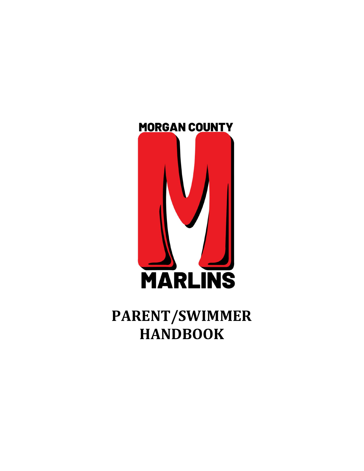

# PARENT/SWIMMER **HANDBOOK**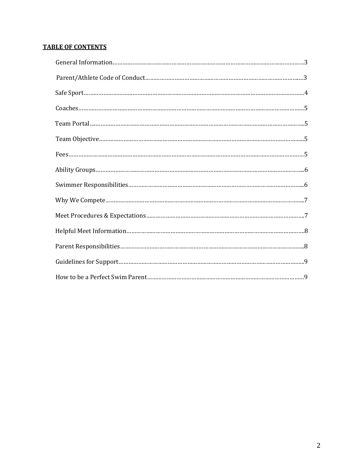# TABLE OF CONTENTS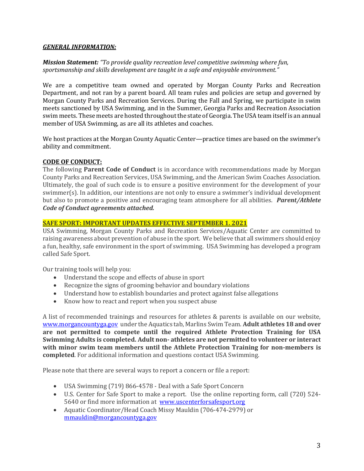#### GENERAL INFORMATION:

Mission Statement: "To provide quality recreation level competitive swimming where fun, sportsmanship and skills development are taught in a safe and enjoyable environment."

We are a competitive team owned and operated by Morgan County Parks and Recreation Department, and not ran by a parent board. All team rules and policies are setup and governed by Morgan County Parks and Recreation Services. During the Fall and Spring, we participate in swim meets sanctioned by USA Swimming, and in the Summer, Georgia Parks and Recreation Association swim meets. These meets are hosted throughout the state of Georgia. The USA team itself is an annual member of USA Swimming, as are all its athletes and coaches.

We host practices at the Morgan County Aquatic Center—practice times are based on the swimmer's ability and commitment.

#### CODE OF CONDUCT:

The following **Parent Code of Conduct** is in accordance with recommendations made by Morgan County Parks and Recreation Services, USA Swimming, and the American Swim Coaches Association. Ultimately, the goal of such code is to ensure a positive environment for the development of your swimmer(s). In addition, our intentions are not only to ensure a swimmer's individual development but also to promote a positive and encouraging team atmosphere for all abilities. *Parent/Athlete* Code of Conduct agreements attached.

#### SAFE SPORT: IMPORTANT UPDATES EFFECTIVE SEPTEMBER 1. 2021

USA Swimming, Morgan County Parks and Recreation Services/Aquatic Center are committed to raising awareness about prevention of abuse in the sport. We believe that all swimmers should enjoy a fun, healthy, safe environment in the sport of swimming. USA Swimming has developed a program called Safe Sport.

Our training tools will help you:

- Understand the scope and effects of abuse in sport
- Recognize the signs of grooming behavior and boundary violations
- Understand how to establish boundaries and protect against false allegations
- Know how to react and report when you suspect abuse

A list of recommended trainings and resources for athletes & parents is available on our website, www.morgancountyga.gov under the Aquatics tab, Marlins Swim Team. Adult athletes 18 and over are not permitted to compete until the required Athlete Protection Training for USA Swimming Adults is completed. Adult non- athletes are not permitted to volunteer or interact with minor swim team members until the Athlete Protection Training for non-members is completed. For additional information and questions contact USA Swimming.

Please note that there are several ways to report a concern or file a report:

- USA Swimming (719) 866-4578 Deal with a Safe Sport Concern
- U.S. Center for Safe Sport to make a report. Use the online reporting form, call (720) 524- 5640 or find more information at www.uscenterforsafesport.org
- Aquatic Coordinator/Head Coach Missy Mauldin (706-474-2979) or mmauldin@morgancountyga.gov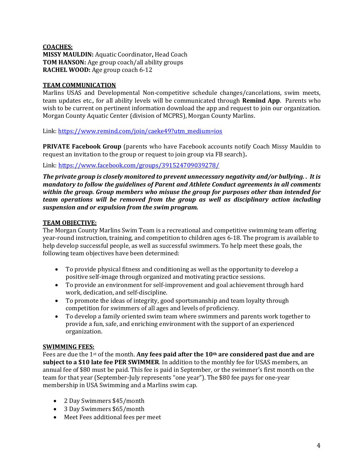#### COACHES: MISSY MAULDIN: Aquatic Coordinator, Head Coach TOM HANSON: Age group coach/all ability groups RACHEL WOOD: Age group coach 6-12

# TEAM COMMUNICATION

Marlins USAS and Developmental Non-competitive schedule changes/cancelations, swim meets, team updates etc., for all ability levels will be communicated through Remind App. Parents who wish to be current on pertinent information download the app and request to join our organization. Morgan County Aquatic Center (division of MCPRS), Morgan County Marlins.

Link: https://www.remind.com/join/caeke49?utm\_medium=ios

PRIVATE Facebook Group (parents who have Facebook accounts notify Coach Missy Mauldin to request an invitation to the group or request to join group via FB search).

Link: https://www.facebook.com/groups/391524709039278/

The private group is closely monitored to prevent unnecessary negativity and/or bullying. . It is mandatory to follow the guidelines of Parent and Athlete Conduct agreements in all comments within the group. Group members who misuse the group for purposes other than intended for team operations will be removed from the group as well as disciplinary action including suspension and or expulsion from the swim program.

# TEAM OBJECTIVE:

The Morgan County Marlins Swim Team is a recreational and competitive swimming team offering year-round instruction, training, and competition to children ages 6-18. The program is available to help develop successful people, as well as successful swimmers. To help meet these goals, the following team objectives have been determined:

- To provide physical fitness and conditioning as well as the opportunity to develop a positive self-image through organized and motivating practice sessions.
- To provide an environment for self-improvement and goal achievement through hard work, dedication, and self-discipline.
- To promote the ideas of integrity, good sportsmanship and team loyalty through competition for swimmers of all ages and levels of proficiency.
- To develop a family oriented swim team where swimmers and parents work together to provide a fun, safe, and enriching environment with the support of an experienced organization.

#### SWIMMING FEES:

Fees are due the 1<sup>st</sup> of the month. Any fees paid after the 10<sup>th</sup> are considered past due and are subject to a \$10 late fee PER SWIMMER. In addition to the monthly fee for USAS members, an annual fee of \$80 must be paid. This fee is paid in September, or the swimmer's first month on the team for that year (September-July represents "one year"). The \$80 fee pays for one-year membership in USA Swimming and a Marlins swim cap.

- 2 Day Swimmers \$45/month
- 3 Day Swimmers \$65/month
- Meet Fees additional fees per meet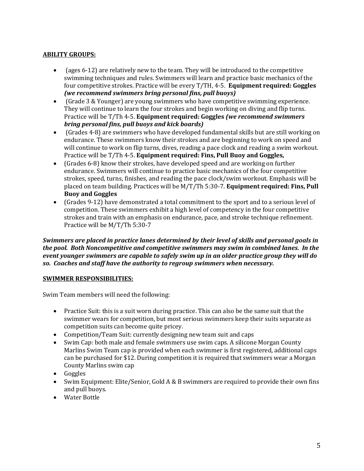# ABILITY GROUPS:

- $\bullet$  (ages 6-12) are relatively new to the team. They will be introduced to the competitive swimming techniques and rules. Swimmers will learn and practice basic mechanics of the four competitive strokes. Practice will be every T/TH, 4-5. Equipment required: Goggles (we recommend swimmers bring personal fins, pull buoys)
- (Grade 3 & Younger) are young swimmers who have competitive swimming experience. They will continue to learn the four strokes and begin working on diving and flip turns. Practice will be T/Th 4-5. Equipment required: Goggles (we recommend swimmers bring personal fins, pull buoys and kick boards)
- (Grades 4-8) are swimmers who have developed fundamental skills but are still working on endurance. These swimmers know their strokes and are beginning to work on speed and will continue to work on flip turns, dives, reading a pace clock and reading a swim workout. Practice will be T/Th 4-5. Equipment required: Fins, Pull Buoy and Goggles,
- (Grades 6-8) know their strokes, have developed speed and are working on further endurance. Swimmers will continue to practice basic mechanics of the four competitive strokes, speed, turns, finishes, and reading the pace clock/swim workout. Emphasis will be placed on team building. Practices will be M/T/Th 5:30-7. Equipment required: Fins, Pull Buoy and Goggles
- (Grades 9-12) have demonstrated a total commitment to the sport and to a serious level of competition. These swimmers exhibit a high level of competency in the four competitive strokes and train with an emphasis on endurance, pace, and stroke technique refinement. Practice will be M/T/Th 5:30-7

Swimmers are placed in practice lanes determined by their level of skills and personal goals in the pool. Both Noncompetitive and competitive swimmers may swim in combined lanes. In the event younger swimmers are capable to safely swim up in an older practice group they will do so. Coaches and staff have the authority to regroup swimmers when necessary.

#### SWIMMER RESPONSIBILITIES:

Swim Team members will need the following:

- Practice Suit: this is a suit worn during practice. This can also be the same suit that the swimmer wears for competition, but most serious swimmers keep their suits separate as competition suits can become quite pricey.
- Competition/Team Suit: currently designing new team suit and caps
- Swim Cap: both male and female swimmers use swim caps. A silicone Morgan County Marlins Swim Team cap is provided when each swimmer is first registered, additional caps can be purchased for \$12. During competition it is required that swimmers wear a Morgan County Marlins swim cap
- Goggles
- Swim Equipment: Elite/Senior, Gold A & B swimmers are required to provide their own fins and pull buoys.
- Water Bottle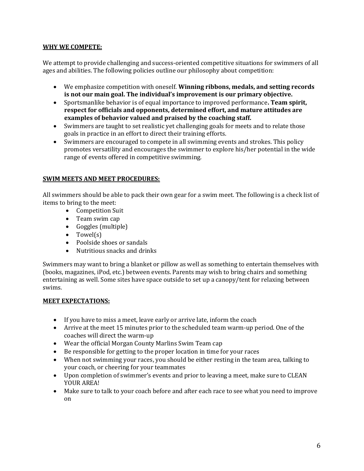#### WHY WE COMPETE:

We attempt to provide challenging and success-oriented competitive situations for swimmers of all ages and abilities. The following policies outline our philosophy about competition:

- We emphasize competition with oneself. Winning ribbons, medals, and setting records is not our main goal. The individual's improvement is our primary objective.
- Sportsmanlike behavior is of equal importance to improved performance. Team spirit, respect for officials and opponents, determined effort, and mature attitudes are examples of behavior valued and praised by the coaching staff.
- Swimmers are taught to set realistic yet challenging goals for meets and to relate those goals in practice in an effort to direct their training efforts.
- Swimmers are encouraged to compete in all swimming events and strokes. This policy promotes versatility and encourages the swimmer to explore his/her potential in the wide range of events offered in competitive swimming.

#### SWIM MEETS AND MEET PROCEDURES:

All swimmers should be able to pack their own gear for a swim meet. The following is a check list of items to bring to the meet:

- Competition Suit
- Team swim cap
- Goggles (multiple)
- Towel(s)
- Poolside shoes or sandals
- Nutritious snacks and drinks

Swimmers may want to bring a blanket or pillow as well as something to entertain themselves with (books, magazines, iPod, etc.) between events. Parents may wish to bring chairs and something entertaining as well. Some sites have space outside to set up a canopy/tent for relaxing between swims.

#### MEET EXPECTATIONS:

- If you have to miss a meet, leave early or arrive late, inform the coach
- Arrive at the meet 15 minutes prior to the scheduled team warm-up period. One of the coaches will direct the warm-up
- Wear the official Morgan County Marlins Swim Team cap
- Be responsible for getting to the proper location in time for your races
- When not swimming your races, you should be either resting in the team area, talking to your coach, or cheering for your teammates
- Upon completion of swimmer's events and prior to leaving a meet, make sure to CLEAN YOUR AREA!
- Make sure to talk to your coach before and after each race to see what you need to improve on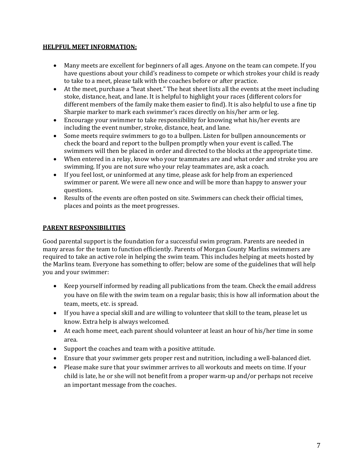#### HELPFUL MEET INFORMATION:

- Many meets are excellent for beginners of all ages. Anyone on the team can compete. If you have questions about your child's readiness to compete or which strokes your child is ready to take to a meet, please talk with the coaches before or after practice.
- At the meet, purchase a "heat sheet." The heat sheet lists all the events at the meet including stoke, distance, heat, and lane. It is helpful to highlight your races (different colors for different members of the family make them easier to find). It is also helpful to use a fine tip Sharpie marker to mark each swimmer's races directly on his/her arm or leg.
- Encourage your swimmer to take responsibility for knowing what his/her events are including the event number, stroke, distance, heat, and lane.
- Some meets require swimmers to go to a bullpen. Listen for bullpen announcements or check the board and report to the bullpen promptly when your event is called. The swimmers will then be placed in order and directed to the blocks at the appropriate time.
- When entered in a relay, know who your teammates are and what order and stroke you are swimming. If you are not sure who your relay teammates are, ask a coach.
- If you feel lost, or uninformed at any time, please ask for help from an experienced swimmer or parent. We were all new once and will be more than happy to answer your questions.
- Results of the events are often posted on site. Swimmers can check their official times, places and points as the meet progresses.

#### PARENT RESPONSIBILITIES

Good parental support is the foundation for a successful swim program. Parents are needed in many areas for the team to function efficiently. Parents of Morgan County Marlins swimmers are required to take an active role in helping the swim team. This includes helping at meets hosted by the Marlins team. Everyone has something to offer; below are some of the guidelines that will help you and your swimmer:

- Keep yourself informed by reading all publications from the team. Check the email address you have on file with the swim team on a regular basis; this is how all information about the team, meets, etc. is spread.
- If you have a special skill and are willing to volunteer that skill to the team, please let us know. Extra help is always welcomed.
- At each home meet, each parent should volunteer at least an hour of his/her time in some area.
- Support the coaches and team with a positive attitude.
- Ensure that your swimmer gets proper rest and nutrition, including a well-balanced diet.
- Please make sure that your swimmer arrives to all workouts and meets on time. If your child is late, he or she will not benefit from a proper warm-up and/or perhaps not receive an important message from the coaches.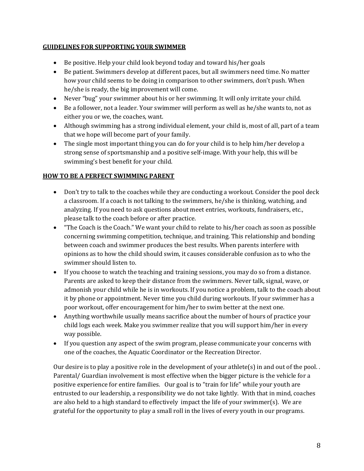# GUIDELINES FOR SUPPORTING YOUR SWIMMER

- Be positive. Help your child look beyond today and toward his/her goals
- Be patient. Swimmers develop at different paces, but all swimmers need time. No matter how your child seems to be doing in comparison to other swimmers, don't push. When he/she is ready, the big improvement will come.
- Never "bug" your swimmer about his or her swimming. It will only irritate your child.
- Be a follower, not a leader. Your swimmer will perform as well as he/she wants to, not as either you or we, the coaches, want.
- Although swimming has a strong individual element, your child is, most of all, part of a team that we hope will become part of your family.
- The single most important thing you can do for your child is to help him/her develop a strong sense of sportsmanship and a positive self-image. With your help, this will be swimming's best benefit for your child.

# HOW TO BE A PERFECT SWIMMING PARENT

- Don't try to talk to the coaches while they are conducting a workout. Consider the pool deck a classroom. If a coach is not talking to the swimmers, he/she is thinking, watching, and analyzing. If you need to ask questions about meet entries, workouts, fundraisers, etc., please talk to the coach before or after practice.
- "The Coach is the Coach." We want your child to relate to his/her coach as soon as possible concerning swimming competition, technique, and training. This relationship and bonding between coach and swimmer produces the best results. When parents interfere with opinions as to how the child should swim, it causes considerable confusion as to who the swimmer should listen to.
- If you choose to watch the teaching and training sessions, you may do so from a distance. Parents are asked to keep their distance from the swimmers. Never talk, signal, wave, or admonish your child while he is in workouts. If you notice a problem, talk to the coach about it by phone or appointment. Never time you child during workouts. If your swimmer has a poor workout, offer encouragement for him/her to swim better at the next one.
- Anything worthwhile usually means sacrifice about the number of hours of practice your child logs each week. Make you swimmer realize that you will support him/her in every way possible.
- If you question any aspect of the swim program, please communicate your concerns with one of the coaches, the Aquatic Coordinator or the Recreation Director.

Our desire is to play a positive role in the development of your athlete(s) in and out of the pool. . Parental/ Guardian involvement is most effective when the bigger picture is the vehicle for a positive experience for entire families. Our goal is to "train for life" while your youth are entrusted to our leadership, a responsibility we do not take lightly. With that in mind, coaches are also held to a high standard to effectively impact the life of your swimmer(s). We are grateful for the opportunity to play a small roll in the lives of every youth in our programs.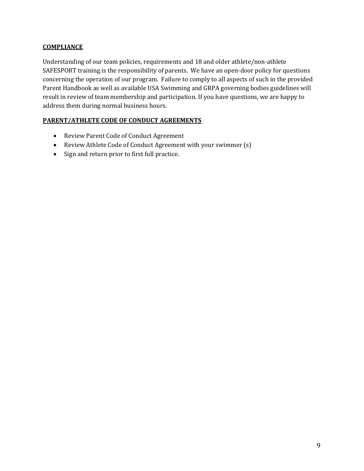# **COMPLIANCE**

Understanding of our team policies, requirements and 18 and older athlete/non-athlete SAFESPORT training is the responsibility of parents. We have an open-door policy for questions concerning the operation of our program. Failure to comply to all aspects of such in the provided Parent Handbook as well as available USA Swimming and GRPA governing bodies guidelines will result in review of team membership and participation. If you have questions, we are happy to address them during normal business hours.

# PARENT/ATHLETE CODE OF CONDUCT AGREEMENTS

- Review Parent Code of Conduct Agreement
- Review Athlete Code of Conduct Agreement with your swimmer (s)
- Sign and return prior to first full practice.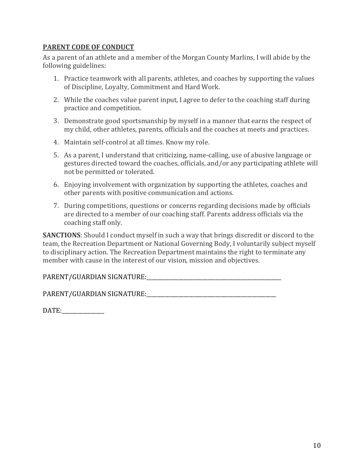# PARENT CODE OF CONDUCT

As a parent of an athlete and a member of the Morgan County Marlins, I will abide by the following guidelines:

- 1. Practice teamwork with all parents, athletes, and coaches by supporting the values of Discipline, Loyalty, Commitment and Hard Work.
- 2. While the coaches value parent input, I agree to defer to the coaching staff during practice and competition.
- 3. Demonstrate good sportsmanship by myself in a manner that earns the respect of my child, other athletes, parents, officials and the coaches at meets and practices.
- 4. Maintain self-control at all times. Know my role.
- 5. As a parent, I understand that criticizing, name-calling, use of abusive language or gestures directed toward the coaches, officials, and/or any participating athlete will not be permitted or tolerated.
- 6. Enjoying involvement with organization by supporting the athletes, coaches and other parents with positive communication and actions.
- 7. During competitions, questions or concerns regarding decisions made by officials are directed to a member of our coaching staff. Parents address officials via the coaching staff only.

SANCTIONS: Should I conduct myself in such a way that brings discredit or discord to the team, the Recreation Department or National Governing Body, I voluntarily subject myself to disciplinary action. The Recreation Department maintains the right to terminate any member with cause in the interest of our vision, mission and objectives.

PARENT/GUARDIAN SIGNATURE:\_\_\_\_\_\_\_\_\_\_\_\_\_\_\_\_\_\_\_\_\_\_\_\_\_\_\_\_\_\_\_\_\_\_\_\_\_\_\_\_\_\_\_\_\_\_\_\_\_\_\_

PARENT/GUARDIAN SIGNATURE:

| DATE: |
|-------|
|       |